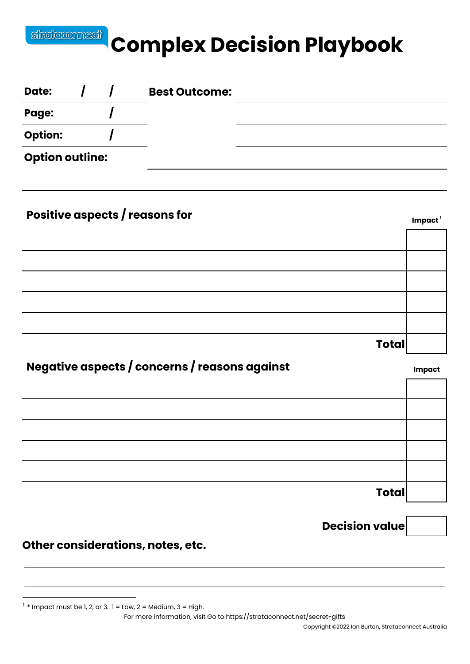## strateconnect

## **Complex Decision Playbook**

| $\sqrt{1}$<br>Date:                           | <b>Best Outcome:</b>  |                     |
|-----------------------------------------------|-----------------------|---------------------|
| Page:                                         |                       |                     |
| <b>Option:</b>                                |                       |                     |
| <b>Option outline:</b>                        |                       |                     |
|                                               |                       |                     |
| Positive aspects / reasons for                |                       | Impact <sup>1</sup> |
|                                               |                       |                     |
|                                               |                       |                     |
|                                               |                       |                     |
|                                               |                       |                     |
|                                               | <b>Total</b>          |                     |
| Negative aspects / concerns / reasons against |                       | <b>Impact</b>       |
|                                               |                       |                     |
|                                               |                       |                     |
|                                               |                       |                     |
|                                               |                       |                     |
|                                               | <b>Total</b>          |                     |
|                                               | <b>Decision value</b> |                     |
| Other considerations, notes, etc.             |                       |                     |
|                                               |                       |                     |

 $1 *$  Impact must be 1, 2, or 3.  $1 =$  Low, 2 = Medium, 3 = High.

For more information, visit Go to <https://strataconnect.net/secret-gifts>